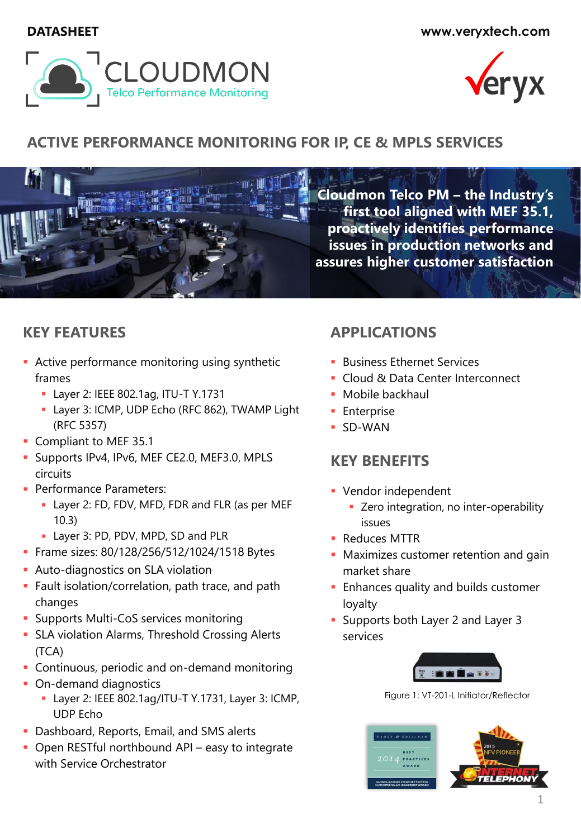**DATASHEET www.veryxtech.com**





# **ACTIVE PERFORMANCE MONITORING FOR IP, CE & MPLS SERVICES**



**Cloudmon Telco PM – the Industry's first tool aligned with MEF 35.1, proactively identifies performance issues in production networks and assures higher customer satisfaction**

# **KEY FEATURES**

- **EXECT** Active performance monitoring using synthetic frames
	- Layer 2: IEEE 802.1ag, ITU-T Y.1731
	- **E** Layer 3: ICMP, UDP Echo (RFC 862), TWAMP Light (RFC 5357)
- **Compliant to MEF 35.1**
- **E** Supports IPv4, IPv6, MEF CE2.0, MEF3.0, MPLS circuits
- **Performance Parameters:** 
	- **E** Layer 2: FD, FDV, MFD, FDR and FLR (as per MEF 10.3)
	- **E** Layer 3: PD, PDV, MPD, SD and PLR
- **Exame sizes: 80/128/256/512/1024/1518 Bytes**
- **Auto-diagnostics on SLA violation**
- **E** Fault isolation/correlation, path trace, and path changes
- **E** Supports Multi-CoS services monitoring
- **EXECTA** violation Alarms, Threshold Crossing Alerts (TCA)
- **EXEC** Continuous, periodic and on-demand monitoring
- **On-demand diagnostics** 
	- Layer 2: IEEE 802.1ag/ITU-T Y.1731, Layer 3: ICMP, UDP Echo
- **Dashboard, Reports, Email, and SMS alerts**
- **Open RESTful northbound API easy to integrate** with Service Orchestrator

# **APPLICATIONS**

- **Business Ethernet Services**
- Cloud & Data Center Interconnect
- **■** Mobile backhaul
- **Enterprise**
- SD-WAN

# **KEY BENEFITS**

- **Vendor independent** 
	- **EXECO** integration, no inter-operability issues
- Reduces MTTR
- **Maximizes customer retention and gain** market share
- **Enhances quality and builds customer** loyalty
- Supports both Layer 2 and Layer 3 services



Figure 1: VT-201-L Initiator/Reflector

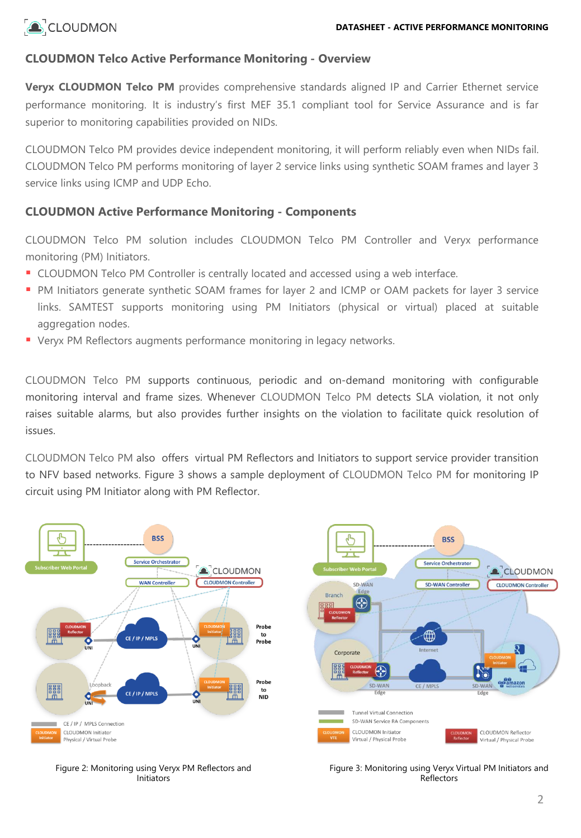

## **CLOUDMON Telco Active Performance Monitoring - Overview**

**Veryx CLOUDMON Telco PM** provides comprehensive standards aligned IP and Carrier Ethernet service performance monitoring. It is industry's first MEF 35.1 compliant tool for Service Assurance and is far superior to monitoring capabilities provided on NIDs.

CLOUDMON Telco PM provides device independent monitoring, it will perform reliably even when NIDs fail. CLOUDMON Telco PM performs monitoring of layer 2 service links using synthetic SOAM frames and layer 3 service links using ICMP and UDP Echo.

## **CLOUDMON Active Performance Monitoring - Components**

CLOUDMON Telco PM solution includes CLOUDMON Telco PM Controller and Veryx performance monitoring (PM) Initiators.

- **CLOUDMON Telco PM Controller is centrally located and accessed using a web interface.**
- PM Initiators generate synthetic SOAM frames for layer 2 and ICMP or OAM packets for layer 3 service links. SAMTEST supports monitoring using PM Initiators (physical or virtual) placed at suitable aggregation nodes.
- Veryx PM Reflectors augments performance monitoring in legacy networks.

CLOUDMON Telco PM supports continuous, periodic and on-demand monitoring with configurable monitoring interval and frame sizes. Whenever CLOUDMON Telco PM detects SLA violation, it not only raises suitable alarms, but also provides further insights on the violation to facilitate quick resolution of issues.

CLOUDMON Telco PM also offers virtual PM Reflectors and Initiators to support service provider transition to NFV based networks. Figure 3 shows a sample deployment of CLOUDMON Telco PM for monitoring IP circuit using PM Initiator along with PM Reflector.



Figure 2: Monitoring using Veryx PM Reflectors and Initiators

Figure 3: Monitoring using Veryx Virtual PM Initiators and Reflectors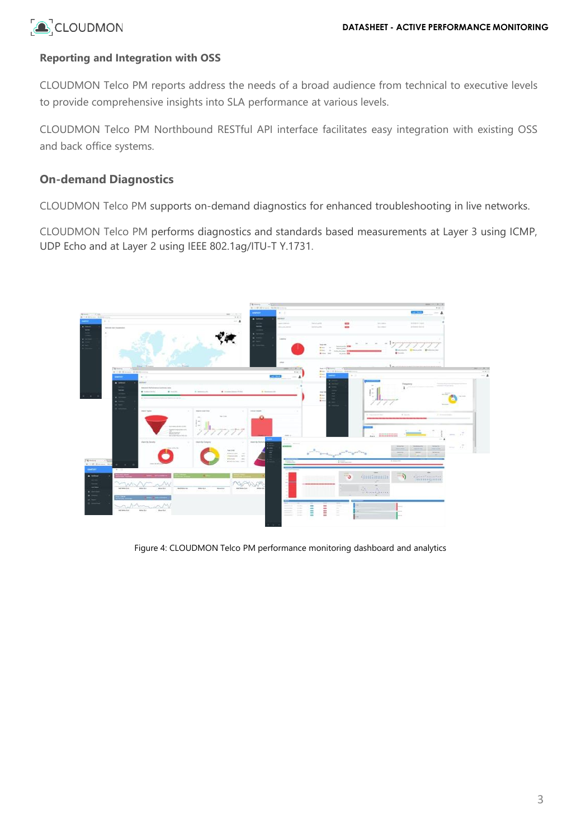## **Reporting and Integration with OSS**

CLOUDMON Telco PM reports address the needs of a broad audience from technical to executive levels to provide comprehensive insights into SLA performance at various levels.

CLOUDMON Telco PM Northbound RESTful API interface facilitates easy integration with existing OSS and back office systems.

## **On-demand Diagnostics**

CLOUDMON Telco PM supports on-demand diagnostics for enhanced troubleshooting in live networks.

CLOUDMON Telco PM performs diagnostics and standards based measurements at Layer 3 using ICMP, UDP Echo and at Layer 2 using IEEE 802.1ag/ITU-T Y.1731.



Figure 4: CLOUDMON Telco PM performance monitoring dashboard and analytics